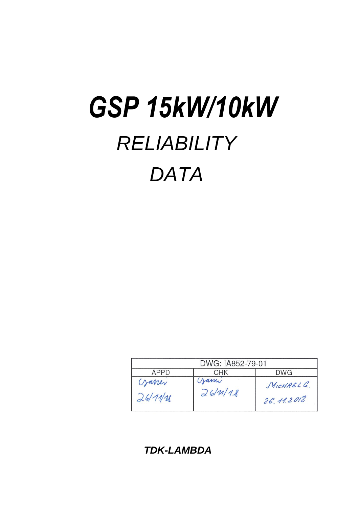# *RELIABILITY DATA GSP 15kW/10kW*

| DWG: IA852-79-01  |                   |                           |  |  |
|-------------------|-------------------|---------------------------|--|--|
| APPD              | <b>DWG</b><br>CHK |                           |  |  |
| garry<br>26/11/28 | Jami<br>26/M/18   | MICHAEL C.<br>26, 11.2018 |  |  |

*TDK-LAMBDA*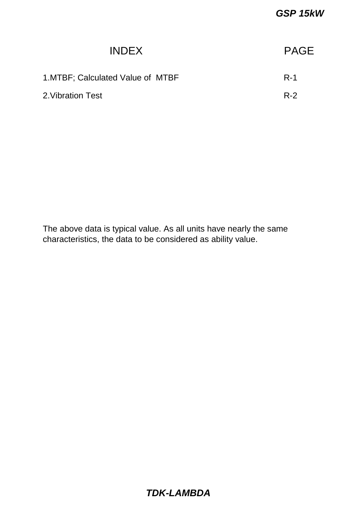| <b>PAGE</b> |
|-------------|
| $R-1$       |
| $R-2$       |
|             |

The above data is typical value. As all units have nearly the same characteristics, the data to be considered as ability value.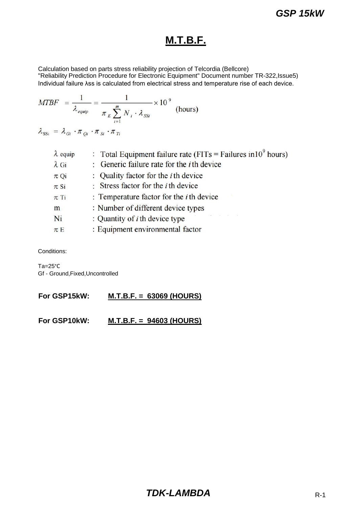# **M.T.B.F.**

Calculation based on parts stress reliability projection of Telcordia (Bellcore) "Reliability Prediction Procedure for Electronic Equipment" Document number TR-322,Issue5) Individual failure λss is calculated from electrical stress and temperature rise of each device.

$$
MTBF = \frac{1}{\lambda_{\text{equiv}}} = \frac{1}{\pi_E \sum_{i=1}^{m} N_i \cdot \lambda_{SSi}} \times 10^9 \text{ (hours)}
$$

| $\lambda_{\text{SSI}} = \lambda_{Gi} \cdot \pi_{Qi} \cdot \pi_{Si} \cdot \pi_{Ti}$ |  |  |  |  |
|------------------------------------------------------------------------------------|--|--|--|--|
|------------------------------------------------------------------------------------|--|--|--|--|

| $\lambda$ equip | : Total Equipment failure rate (FITs = Failures in $10^9$ hours) |
|-----------------|------------------------------------------------------------------|
| $\lambda$ Gi    | : Generic failure rate for the $i$ th device                     |
| $\pi$ Qi        | : Quality factor for the <i>i</i> th device                      |
| $\pi$ Si        | : Stress factor for the $i$ th device                            |
| $\pi$ Ti        | : Temperature factor for the $i$ th device                       |
| m               | : Number of different device types                               |
| Ni              | The control of the control<br>: Quantity of $i$ th device type   |
| $\pi E$         | : Equipment environmental factor                                 |
|                 |                                                                  |

Conditions:

Ta=25°C Gf - Ground,Fixed,Uncontrolled

**For GSP15kW: M.T.B.F. = 63069 (HOURS)**

**For GSP10kW: M.T.B.F. = 94603 (HOURS)**